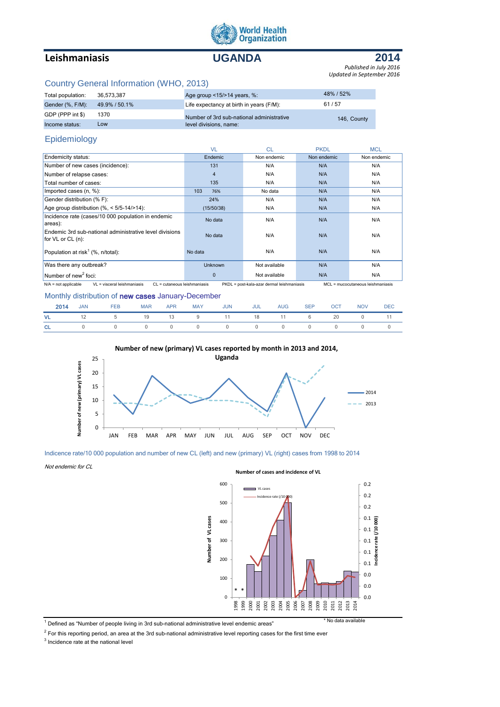

# **Leishmaniasis UGANDA**



*Updated in September 2016 Published in July 2016*

## Country General Information (WHO, 2013)

| Total population: | 36.573.387    | Age group $<15/>14$ years, %:             | 48%/52%     |
|-------------------|---------------|-------------------------------------------|-------------|
| Gender (%, F/M):  | 49.9% / 50.1% | Life expectancy at birth in years (F/M):  | 61/57       |
| GDP (PPP int \$)  | 1370          | Number of 3rd sub-national administrative | 146, County |
| Income status:    | Low           | level divisions, name:                    |             |

## Epidemiology

|                                                                                                                                                                          | <b>VL</b>      | <b>CL</b>     | <b>PKDL</b> | <b>MCL</b>  |  |  |
|--------------------------------------------------------------------------------------------------------------------------------------------------------------------------|----------------|---------------|-------------|-------------|--|--|
| Endemicity status:                                                                                                                                                       | Endemic        | Non endemic   | Non endemic | Non endemic |  |  |
| Number of new cases (incidence):                                                                                                                                         | 131            | N/A           | N/A         | N/A         |  |  |
| Number of relapse cases:                                                                                                                                                 | $\overline{4}$ | N/A           | N/A         | N/A         |  |  |
| Total number of cases:                                                                                                                                                   | 135            | N/A           | N/A         | N/A         |  |  |
| Imported cases (n, %):                                                                                                                                                   | 103<br>76%     | No data       | N/A         | N/A         |  |  |
| Gender distribution (% F):                                                                                                                                               | 24%            | N/A           | N/A         | N/A         |  |  |
| Age group distribution $(\%,-5/5-14/>14)$ :                                                                                                                              | (15/50/38)     | N/A           | N/A         | N/A         |  |  |
| Incidence rate (cases/10 000 population in endemic<br>areas):                                                                                                            | No data        | N/A           | N/A         | N/A         |  |  |
| Endemic 3rd sub-national administrative level divisions<br>for VL or CL (n):                                                                                             | No data        | N/A           | N/A         | N/A         |  |  |
| Population at risk <sup>1</sup> (%, n/total):                                                                                                                            | No data        | N/A           | N/A         | N/A         |  |  |
| Was there any outbreak?                                                                                                                                                  | <b>Unknown</b> | Not available | N/A         | N/A         |  |  |
| Number of new <sup>2</sup> foci:                                                                                                                                         | $\mathbf{0}$   | Not available | N/A         | N/A         |  |  |
| $N/A$ = not applicable<br>VL = visceral leishmaniasis<br>PKDL = post-kala-azar dermal leishmaniasis<br>MCL = mucocutaneous leishmaniasis<br>CL = cutaneous leishmaniasis |                |               |             |             |  |  |

## Monthly distribution of **new cases** January-December

|  | 2014 JAN FEB MAR APR MAY JUN JUL AUG SEP OCT NOV DEC |  |  |  |  |  |
|--|------------------------------------------------------|--|--|--|--|--|
|  | VL 12 5 19 13 9 11 18 11 6 20 0 11                   |  |  |  |  |  |
|  | CL 0 0 0 0 0 0 0 0 0 0 0 0 0                         |  |  |  |  |  |

#### **Number of new (primary) VL cases reported by month in 2013 and 2014,**



#### Indicence rate/10 000 population and number of new CL (left) and new (primary) VL (right) cases from 1998 to 2014

Not endemic for CL



1 Defined as "Number of people living in 3rd sub-national administrative level endemic areas" \* No data available

 $^2$  For this reporting period, an area at the 3rd sub-national administrative level reporting cases for the first time ever

<sup>3</sup> Incidence rate at the national level